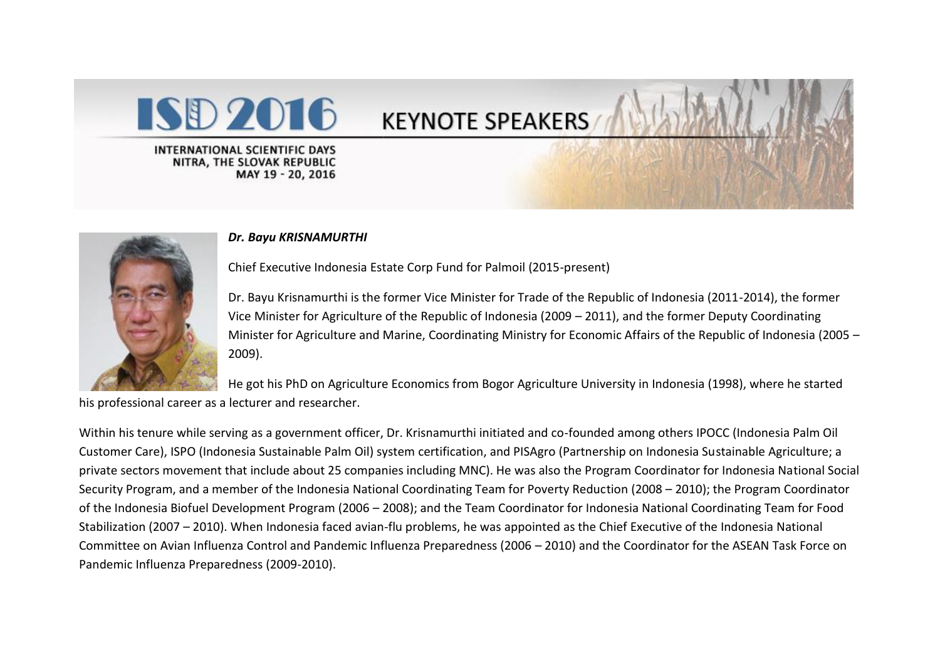



## *Dr. Bayu KRISNAMURTHI*

Chief Executive Indonesia Estate Corp Fund for Palmoil (2015-present)

Dr. Bayu Krisnamurthi is the former Vice Minister for Trade of the Republic of Indonesia (2011-2014), the former Vice Minister for Agriculture of the Republic of Indonesia (2009 – 2011), and the former Deputy Coordinating Minister for Agriculture and Marine, Coordinating Ministry for Economic Affairs of the Republic of Indonesia (2005 – 2009).

He got his PhD on Agriculture Economics from Bogor Agriculture University in Indonesia (1998), where he started

his professional career as a lecturer and researcher.

Within his tenure while serving as a government officer, Dr. Krisnamurthi initiated and co-founded among others IPOCC (Indonesia Palm Oil Customer Care), ISPO (Indonesia Sustainable Palm Oil) system certification, and PISAgro (Partnership on Indonesia Sustainable Agriculture; a private sectors movement that include about 25 companies including MNC). He was also the Program Coordinator for Indonesia National Social Security Program, and a member of the Indonesia National Coordinating Team for Poverty Reduction (2008 – 2010); the Program Coordinator of the Indonesia Biofuel Development Program (2006 – 2008); and the Team Coordinator for Indonesia National Coordinating Team for Food Stabilization (2007 – 2010). When Indonesia faced avian-flu problems, he was appointed as the Chief Executive of the Indonesia National Committee on Avian Influenza Control and Pandemic Influenza Preparedness (2006 – 2010) and the Coordinator for the ASEAN Task Force on Pandemic Influenza Preparedness (2009-2010).